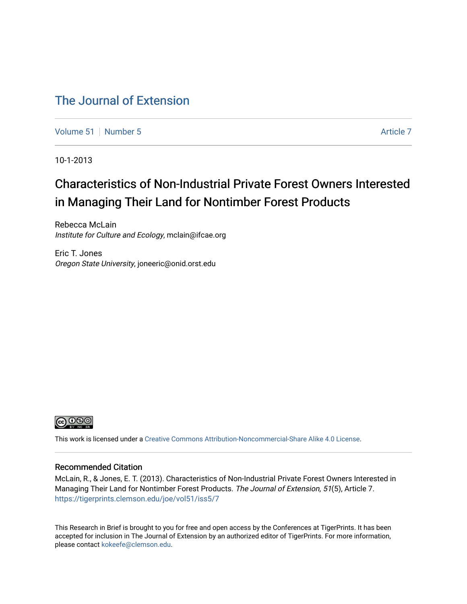## [The Journal of Extension](https://tigerprints.clemson.edu/joe)

[Volume 51](https://tigerprints.clemson.edu/joe/vol51) [Number 5](https://tigerprints.clemson.edu/joe/vol51/iss5) [Article 7](https://tigerprints.clemson.edu/joe/vol51/iss5/7) Article 7

10-1-2013

# Characteristics of Non-Industrial Private Forest Owners Interested in Managing Their Land for Nontimber Forest Products

Rebecca McLain Institute for Culture and Ecology, mclain@ifcae.org

Eric T. Jones Oregon State University, joneeric@onid.orst.edu



This work is licensed under a [Creative Commons Attribution-Noncommercial-Share Alike 4.0 License.](https://creativecommons.org/licenses/by-nc-sa/4.0/)

### Recommended Citation

McLain, R., & Jones, E. T. (2013). Characteristics of Non-Industrial Private Forest Owners Interested in Managing Their Land for Nontimber Forest Products. The Journal of Extension, 51(5), Article 7. <https://tigerprints.clemson.edu/joe/vol51/iss5/7>

This Research in Brief is brought to you for free and open access by the Conferences at TigerPrints. It has been accepted for inclusion in The Journal of Extension by an authorized editor of TigerPrints. For more information, please contact [kokeefe@clemson.edu](mailto:kokeefe@clemson.edu).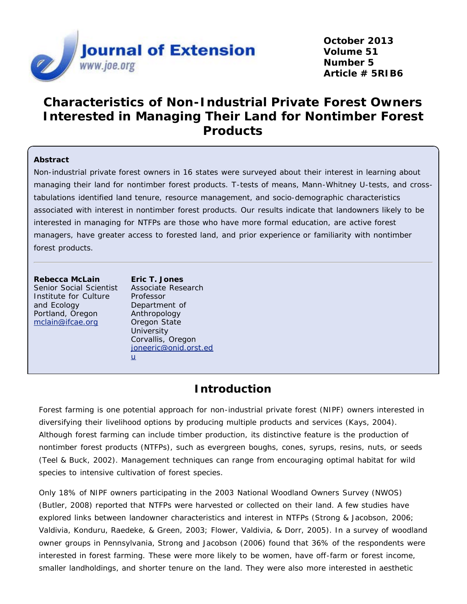

## **Characteristics of Non-Industrial Private Forest Owners Interested in Managing Their Land for Nontimber Forest Products**

### **Abstract**

Non-industrial private forest owners in 16 states were surveyed about their interest in learning about managing their land for nontimber forest products. T-tests of means, Mann-Whitney U-tests, and crosstabulations identified land tenure, resource management, and socio-demographic characteristics associated with interest in nontimber forest products. Our results indicate that landowners likely to be interested in managing for NTFPs are those who have more formal education, are active forest managers, have greater access to forested land, and prior experience or familiarity with nontimber forest products.

**Rebecca McLain** Senior Social Scientist Institute for Culture and Ecology Portland, Oregon [mclain@ifcae.org](mailto:mclain@ifcae.org)

**Eric T. Jones** Associate Research Professor Department of Anthropology Oregon State **University** Corvallis, Oregon [joneeric@onid.orst.ed](mailto:joneeric@onid.orst.edu) [u](mailto:joneeric@onid.orst.edu)

## **Introduction**

Forest farming is one potential approach for non-industrial private forest (NIPF) owners interested in diversifying their livelihood options by producing multiple products and services (Kays, 2004). Although forest farming can include timber production, its distinctive feature is the production of nontimber forest products (NTFPs), such as evergreen boughs, cones, syrups, resins, nuts, or seeds (Teel & Buck, 2002). Management techniques can range from encouraging optimal habitat for wild species to intensive cultivation of forest species.

Only 18% of NIPF owners participating in the 2003 National Woodland Owners Survey (NWOS) (Butler, 2008) reported that NTFPs were harvested or collected on their land. A few studies have explored links between landowner characteristics and interest in NTFPs (Strong & Jacobson, 2006; Valdivia, Konduru, Raedeke, & Green, 2003; Flower, Valdivia, & Dorr, 2005). In a survey of woodland owner groups in Pennsylvania, Strong and Jacobson (2006) found that 36% of the respondents were interested in forest farming. These were more likely to be women, have off-farm or forest income, smaller landholdings, and shorter tenure on the land. They were also more interested in aesthetic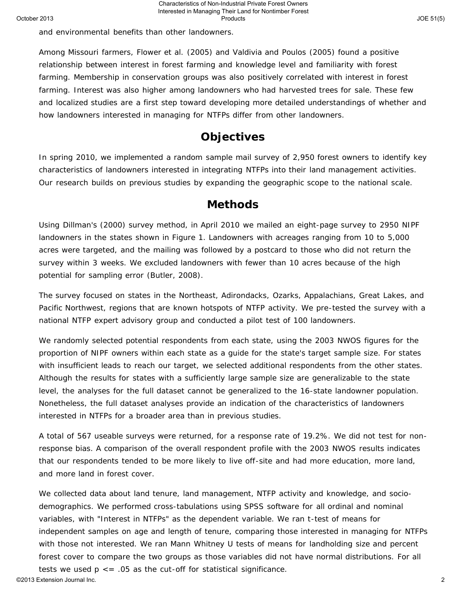and environmental benefits than other landowners.

Among Missouri farmers, Flower et al. (2005) and Valdivia and Poulos (2005) found a positive relationship between interest in forest farming and knowledge level and familiarity with forest farming. Membership in conservation groups was also positively correlated with interest in forest farming. Interest was also higher among landowners who had harvested trees for sale. These few and localized studies are a first step toward developing more detailed understandings of whether and how landowners interested in managing for NTFPs differ from other landowners.

## **Objectives**

In spring 2010, we implemented a random sample mail survey of 2,950 forest owners to identify key characteristics of landowners interested in integrating NTFPs into their land management activities. Our research builds on previous studies by expanding the geographic scope to the national scale.

### **Methods**

Using Dillman's (2000) survey method, in April 2010 we mailed an eight-page survey to 2950 NIPF landowners in the states shown in Figure 1. Landowners with acreages ranging from 10 to 5,000 acres were targeted, and the mailing was followed by a postcard to those who did not return the survey within 3 weeks. We excluded landowners with fewer than 10 acres because of the high potential for sampling error (Butler, 2008).

The survey focused on states in the Northeast, Adirondacks, Ozarks, Appalachians, Great Lakes, and Pacific Northwest, regions that are known hotspots of NTFP activity. We pre-tested the survey with a national NTFP expert advisory group and conducted a pilot test of 100 landowners.

We randomly selected potential respondents from each state, using the 2003 NWOS figures for the proportion of NIPF owners within each state as a guide for the state's target sample size. For states with insufficient leads to reach our target, we selected additional respondents from the other states. Although the results for states with a sufficiently large sample size are generalizable to the state level, the analyses for the full dataset cannot be generalized to the 16-state landowner population. Nonetheless, the full dataset analyses provide an indication of the characteristics of landowners interested in NTFPs for a broader area than in previous studies.

A total of 567 useable surveys were returned, for a response rate of 19.2%. We did not test for nonresponse bias. A comparison of the overall respondent profile with the 2003 NWOS results indicates that our respondents tended to be more likely to live off-site and had more education, more land, and more land in forest cover.

We collected data about land tenure, land management, NTFP activity and knowledge, and sociodemographics. We performed cross-tabulations using SPSS software for all ordinal and nominal variables, with "Interest in NTFPs" as the dependent variable. We ran t-test of means for independent samples on age and length of tenure, comparing those interested in managing for NTFPs with those not interested. We ran Mann Whitney U tests of means for landholding size and percent forest cover to compare the two groups as those variables did not have normal distributions. For all tests we used  $p \le 0.05$  as the cut-off for statistical significance.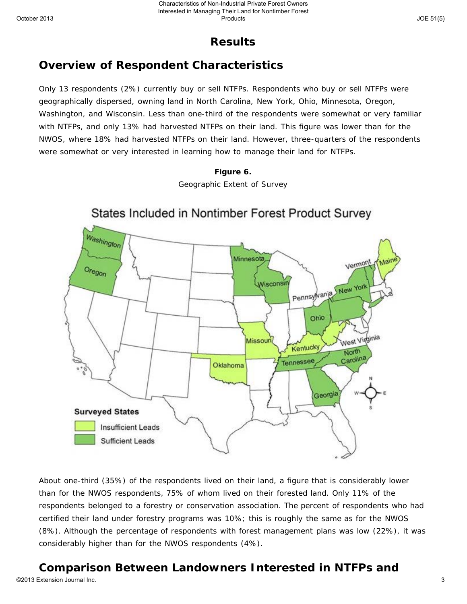## **Results**

# **Overview of Respondent Characteristics**

Only 13 respondents (2%) currently buy or sell NTFPs. Respondents who buy or sell NTFPs were geographically dispersed, owning land in North Carolina, New York, Ohio, Minnesota, Oregon, Washington, and Wisconsin. Less than one-third of the respondents were somewhat or very familiar with NTFPs, and only 13% had harvested NTFPs on their land. This figure was lower than for the NWOS, where 18% had harvested NTFPs on their land. However, three-quarters of the respondents were somewhat or very interested in learning how to manage their land for NTFPs.





About one-third (35%) of the respondents lived on their land, a figure that is considerably lower than for the NWOS respondents, 75% of whom lived on their forested land. Only 11% of the respondents belonged to a forestry or conservation association. The percent of respondents who had certified their land under forestry programs was 10%; this is roughly the same as for the NWOS (8%). Although the percentage of respondents with forest management plans was low (22%), it was considerably higher than for the NWOS respondents (4%).

## **Comparison Between Landowners Interested in NTFPs and**

©2013 Extension Journal Inc. 3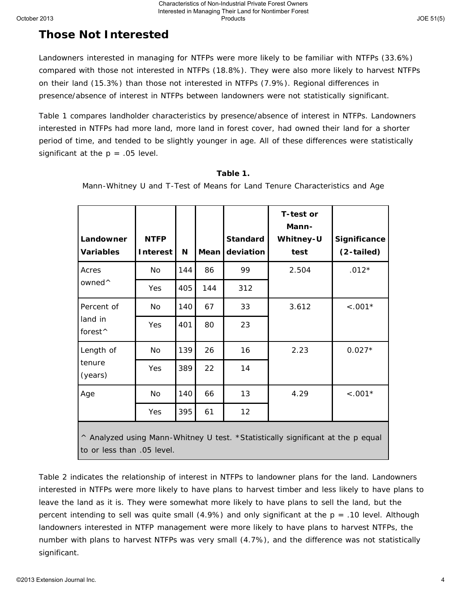## **Those Not Interested**

Landowners interested in managing for NTFPs were more likely to be familiar with NTFPs (33.6%) compared with those not interested in NTFPs (18.8%). They were also more likely to harvest NTFPs on their land (15.3%) than those not interested in NTFPs (7.9%). Regional differences in presence/absence of interest in NTFPs between landowners were not statistically significant.

**Products** 

Table 1 compares landholder characteristics by presence/absence of interest in NTFPs. Landowners interested in NTFPs had more land, more land in forest cover, had owned their land for a shorter period of time, and tended to be slightly younger in age. All of these differences were statistically significant at the  $p = .05$  level.

| Landowner<br><b>Variables</b>                                                   | <b>NTFP</b><br>Interest | N   | Mean | <b>Standard</b><br>deviation | T-test or<br>Mann-<br>Whitney-U<br>test | Significance<br>(2-tailed) |  |  |  |  |
|---------------------------------------------------------------------------------|-------------------------|-----|------|------------------------------|-----------------------------------------|----------------------------|--|--|--|--|
| Acres                                                                           | No                      | 144 | 86   | 99                           | 2.504                                   | $.012*$                    |  |  |  |  |
| owned <sup>^</sup>                                                              | Yes                     | 405 | 144  | 312                          |                                         |                            |  |  |  |  |
| Percent of                                                                      | No                      | 140 | 67   | 33                           | 3.612                                   | $< .001*$                  |  |  |  |  |
| land in<br>forest <sup>^</sup>                                                  | Yes                     | 401 | 80   | 23                           |                                         |                            |  |  |  |  |
| Length of                                                                       | No                      | 139 | 26   | 16                           | 2.23                                    | $0.027*$                   |  |  |  |  |
| tenure<br>(years)                                                               | Yes                     | 389 | 22   | 14                           |                                         |                            |  |  |  |  |
| Age                                                                             | No                      | 140 | 66   | 13                           | 4.29                                    | $< .001*$                  |  |  |  |  |
|                                                                                 | Yes                     | 395 | 61   | 12                           |                                         |                            |  |  |  |  |
| ^ Analyzed using Mann-Whitney U test. *Statistically significant at the p equal |                         |     |      |                              |                                         |                            |  |  |  |  |

### **Table 1.**

Mann-Whitney U and T-Test of Means for Land Tenure Characteristics and Age

to or less than .05 level.

Table 2 indicates the relationship of interest in NTFPs to landowner plans for the land. Landowners interested in NTFPs were more likely to have plans to harvest timber and less likely to have plans to leave the land as it is. They were somewhat more likely to have plans to sell the land, but the percent intending to sell was quite small  $(4.9%)$  and only significant at the  $p = .10$  level. Although landowners interested in NTFP management were more likely to have plans to harvest NTFPs, the number with plans to harvest NTFPs was very small (4.7%), and the difference was not statistically significant.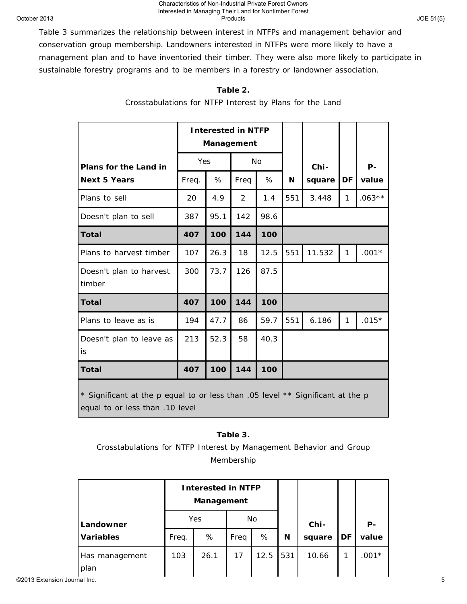#### Characteristics of Non-Industrial Private Forest Owners<br>Interested in Managing Their Land for Nontimber Forest<br>Products Interested in Managing Their Land for Nontimber Forest Products

Table 3 summarizes the relationship between interest in NTFPs and management behavior and conservation group membership. Landowners interested in NTFPs were more likely to have a management plan and to have inventoried their timber. They were also more likely to participate in sustainable forestry programs and to be members in a forestry or landowner association.

### **Table 2.**

Crosstabulations for NTFP Interest by Plans for the Land

|                                                                                                                   |       | <b>Interested in NTFP</b><br>Management |                |           |     |        |              |          |  |
|-------------------------------------------------------------------------------------------------------------------|-------|-----------------------------------------|----------------|-----------|-----|--------|--------------|----------|--|
| Plans for the Land in                                                                                             | Yes   |                                         |                | <b>No</b> |     | Chi-   |              | $P -$    |  |
| <b>Next 5 Years</b>                                                                                               | Freq. | %                                       | Freq           | %         | N   | square | DF           | value    |  |
| Plans to sell                                                                                                     | 20    | 4.9                                     | $\overline{2}$ | 1.4       | 551 | 3.448  | $\mathbf{1}$ | $.063**$ |  |
| Doesn't plan to sell                                                                                              | 387   | 95.1                                    | 142            | 98.6      |     |        |              |          |  |
| <b>Total</b>                                                                                                      | 407   | 100                                     | 144            | 100       |     |        |              |          |  |
| Plans to harvest timber                                                                                           | 107   | 26.3                                    | 18             | 12.5      | 551 | 11.532 | $\mathbf{1}$ | $.001*$  |  |
| Doesn't plan to harvest<br>timber                                                                                 | 300   | 73.7                                    | 126            | 87.5      |     |        |              |          |  |
| <b>Total</b>                                                                                                      | 407   | 100                                     | 144            | 100       |     |        |              |          |  |
| Plans to leave as is                                                                                              | 194   | 47.7                                    | 86             | 59.7      | 551 | 6.186  | 1            | $.015*$  |  |
| Doesn't plan to leave as<br>is                                                                                    | 213   | 52.3                                    | 58             | 40.3      |     |        |              |          |  |
| <b>Total</b><br>407                                                                                               |       | 100                                     | 144            | 100       |     |        |              |          |  |
| * Significant at the p equal to or less than .05 level ** Significant at the p<br>equal to or less than .10 level |       |                                         |                |           |     |        |              |          |  |

### **Table 3.**

Crosstabulations for NTFP Interest by Management Behavior and Group Membership

|                              |                  |       | <b>Interested in NTFP</b><br>Management |      |      |     |        |    |         |
|------------------------------|------------------|-------|-----------------------------------------|------|------|-----|--------|----|---------|
|                              | Landowner        | Yes   |                                         | No   |      |     | Chi-   |    | $P -$   |
|                              | <b>Variables</b> | Freq. | %                                       | Freq | %    | N   | square | DF | value   |
|                              | Has management   | 103   | 26.1                                    | 17   | 12.5 | 531 | 10.66  |    | $.001*$ |
|                              | plan             |       |                                         |      |      |     |        |    |         |
| ©2013 Extension Journal Inc. |                  |       |                                         |      |      |     |        |    |         |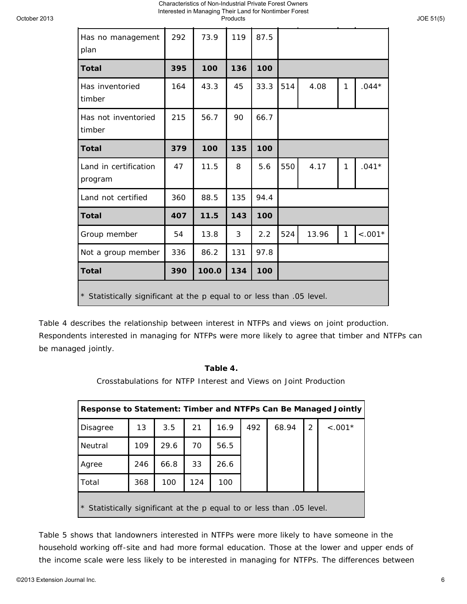### Characteristics of Non-Industrial Private Forest Owners<br>Interested in Managing Their Land for Nontimber Forest<br>Products Interested in Managing Their Land for Nontimber Forest

Products

| Has no management<br>plan                                             | 292 | 73.9 | 119 | 87.5 |     |       |              |           |  |  |  |
|-----------------------------------------------------------------------|-----|------|-----|------|-----|-------|--------------|-----------|--|--|--|
| <b>Total</b>                                                          | 395 | 100  | 136 | 100  |     |       |              |           |  |  |  |
| Has inventoried<br>timber                                             | 164 | 43.3 | 45  | 33.3 | 514 | 4.08  | $\mathbf{1}$ | $.044*$   |  |  |  |
| Has not inventoried<br>timber                                         | 215 | 56.7 | 90  | 66.7 |     |       |              |           |  |  |  |
| <b>Total</b>                                                          | 379 | 100  | 135 | 100  |     |       |              |           |  |  |  |
| Land in certification<br>program                                      | 47  | 11.5 | 8   | 5.6  | 550 | 4.17  | $\mathbf{1}$ | $.041*$   |  |  |  |
| Land not certified                                                    | 360 | 88.5 | 135 | 94.4 |     |       |              |           |  |  |  |
| <b>Total</b>                                                          | 407 | 11.5 | 143 | 100  |     |       |              |           |  |  |  |
| Group member                                                          | 54  | 13.8 | 3   | 2.2  | 524 | 13.96 | 1            | $< .001*$ |  |  |  |
| Not a group member                                                    | 336 | 86.2 | 131 | 97.8 |     |       |              |           |  |  |  |
| 134<br>100<br>390<br>100.0<br><b>Total</b>                            |     |      |     |      |     |       |              |           |  |  |  |
| * Statistically significant at the p equal to or less than .05 level. |     |      |     |      |     |       |              |           |  |  |  |

Table 4 describes the relationship between interest in NTFPs and views on joint production. Respondents interested in managing for NTFPs were more likely to agree that timber and NTFPs can be managed jointly.

### **Table 4.**

Crosstabulations for NTFP Interest and Views on Joint Production

| Response to Statement: Timber and NTFPs Can Be Managed Jointly        |     |      |     |      |     |       |   |           |  |
|-----------------------------------------------------------------------|-----|------|-----|------|-----|-------|---|-----------|--|
| Disagree                                                              | 13  | 3.5  | 21  | 16.9 | 492 | 68.94 | 2 | $< .001*$ |  |
| <b>Neutral</b>                                                        | 109 | 29.6 | 70  | 56.5 |     |       |   |           |  |
| Agree                                                                 | 246 | 66.8 | 33  | 26.6 |     |       |   |           |  |
| Total                                                                 | 368 | 100  | 124 | 100  |     |       |   |           |  |
| * Statistically significant at the p equal to or less than .05 level. |     |      |     |      |     |       |   |           |  |

Table 5 shows that landowners interested in NTFPs were more likely to have someone in the household working off-site and had more formal education. Those at the lower and upper ends of the income scale were less likely to be interested in managing for NTFPs. The differences between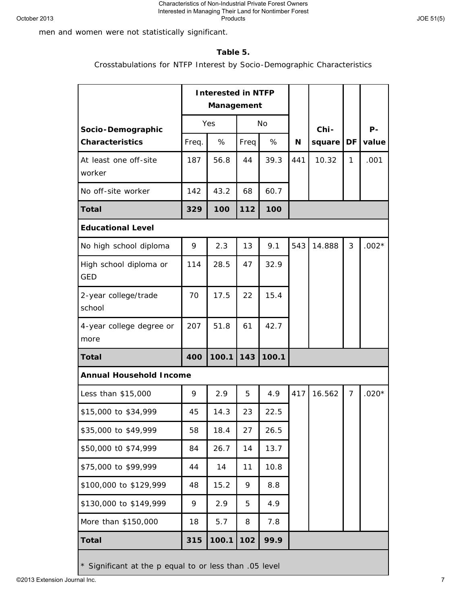men and women were not statistically significant.

### **Table 5.**

Crosstabulations for NTFP Interest by Socio-Demographic Characteristics

|                                      | <b>Interested in NTFP</b><br>Management |       |      |       |     |        |                |          |
|--------------------------------------|-----------------------------------------|-------|------|-------|-----|--------|----------------|----------|
| Socio-Demographic                    | Yes                                     |       | No   |       |     | Chi-   |                | Р-       |
| <b>Characteristics</b>               | Freq.                                   | %     | Freq | %     | N   | square | DF             | value    |
| At least one off-site<br>worker      | 187                                     | 56.8  | 44   | 39.3  | 441 | 10.32  | 1              | .001     |
| No off-site worker                   | 142                                     | 43.2  | 68   | 60.7  |     |        |                |          |
| <b>Total</b>                         | 329                                     | 100   | 112  | 100   |     |        |                |          |
| <b>Educational Level</b>             |                                         |       |      |       |     |        |                |          |
| No high school diploma               | 9                                       | 2.3   | 13   | 9.1   | 543 | 14.888 | 3              | $.002*$  |
| High school diploma or<br><b>GED</b> | 114                                     | 28.5  | 47   | 32.9  |     |        |                |          |
| 2-year college/trade<br>school       | 70                                      | 17.5  | 22   | 15.4  |     |        |                |          |
| 4-year college degree or<br>more     | 207                                     | 51.8  | 61   | 42.7  |     |        |                |          |
| <b>Total</b>                         | 400                                     | 100.1 | 143  | 100.1 |     |        |                |          |
| <b>Annual Household Income</b>       |                                         |       |      |       |     |        |                |          |
| Less than \$15,000                   | 9                                       | 2.9   | 5    | 4.9   | 417 | 16.562 | $\overline{7}$ | .020 $*$ |
| \$15,000 to \$34,999                 | 45                                      | 14.3  | 23   | 22.5  |     |        |                |          |
| \$35,000 to \$49,999                 | 58                                      | 18.4  | 27   | 26.5  |     |        |                |          |
| \$50,000 t0 \$74,999                 | 84                                      | 26.7  | 14   | 13.7  |     |        |                |          |
| \$75,000 to \$99,999                 | 44                                      | 14    | 11   | 10.8  |     |        |                |          |
| \$100,000 to \$129,999               | 48                                      | 15.2  | 9    | 8.8   |     |        |                |          |
| \$130,000 to \$149,999               | 9                                       | 2.9   | 5    | 4.9   |     |        |                |          |
| More than \$150,000                  | 18                                      | 5.7   | 8    | 7.8   |     |        |                |          |
| <b>Total</b>                         | 315                                     | 100.1 | 102  | 99.9  |     |        |                |          |

\* Significant at the p equal to or less than .05 level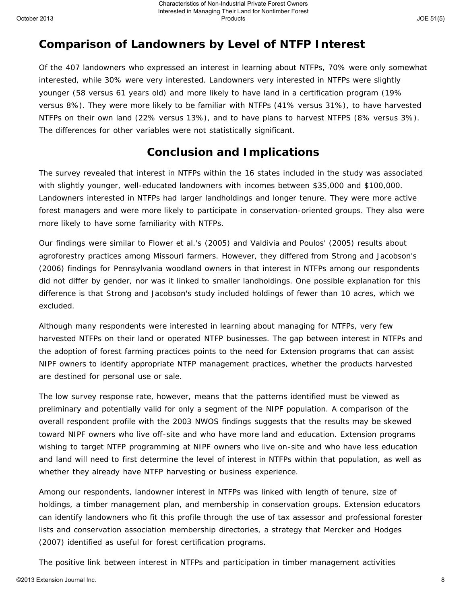## **Comparison of Landowners by Level of NTFP Interest**

Of the 407 landowners who expressed an interest in learning about NTFPs, 70% were only somewhat interested, while 30% were very interested. Landowners very interested in NTFPs were slightly younger (58 versus 61 years old) and more likely to have land in a certification program (19% versus 8%). They were more likely to be familiar with NTFPs (41% versus 31%), to have harvested NTFPs on their own land (22% versus 13%), and to have plans to harvest NTFPS (8% versus 3%). The differences for other variables were not statistically significant.

# **Conclusion and Implications**

The survey revealed that interest in NTFPs within the 16 states included in the study was associated with slightly younger, well-educated landowners with incomes between \$35,000 and \$100,000. Landowners interested in NTFPs had larger landholdings and longer tenure. They were more active forest managers and were more likely to participate in conservation-oriented groups. They also were more likely to have some familiarity with NTFPs.

Our findings were similar to Flower et al.'s (2005) and Valdivia and Poulos' (2005) results about agroforestry practices among Missouri farmers. However, they differed from Strong and Jacobson's (2006) findings for Pennsylvania woodland owners in that interest in NTFPs among our respondents did not differ by gender, nor was it linked to smaller landholdings. One possible explanation for this difference is that Strong and Jacobson's study included holdings of fewer than 10 acres, which we excluded.

Although many respondents were interested in learning about managing for NTFPs, very few harvested NTFPs on their land or operated NTFP businesses. The gap between interest in NTFPs and the adoption of forest farming practices points to the need for Extension programs that can assist NIPF owners to identify appropriate NTFP management practices, whether the products harvested are destined for personal use or sale.

The low survey response rate, however, means that the patterns identified must be viewed as preliminary and potentially valid for only a segment of the NIPF population. A comparison of the overall respondent profile with the 2003 NWOS findings suggests that the results may be skewed toward NIPF owners who live off-site and who have more land and education. Extension programs wishing to target NTFP programming at NIPF owners who live on-site and who have less education and land will need to first determine the level of interest in NTFPs within that population, as well as whether they already have NTFP harvesting or business experience.

Among our respondents, landowner interest in NTFPs was linked with length of tenure, size of holdings, a timber management plan, and membership in conservation groups. Extension educators can identify landowners who fit this profile through the use of tax assessor and professional forester lists and conservation association membership directories, a strategy that Mercker and Hodges (2007) identified as useful for forest certification programs.

The positive link between interest in NTFPs and participation in timber management activities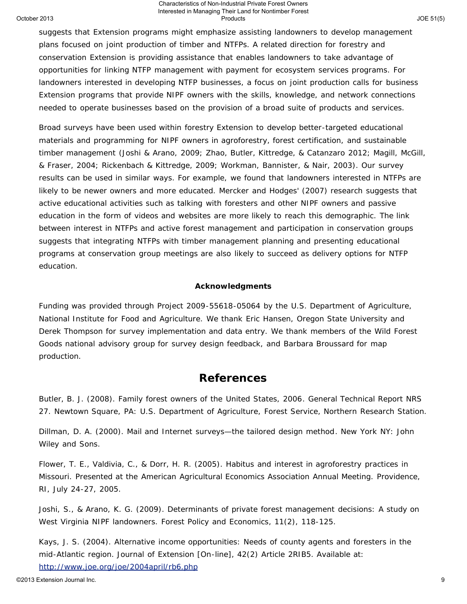#### Characteristics of Non-Industrial Private Forest Owners<br>Interested in Managing Their Land for Nontimber Forest<br>Products Interested in Managing Their Land for Nontimber Forest **Products**

suggests that Extension programs might emphasize assisting landowners to develop management plans focused on joint production of timber and NTFPs. A related direction for forestry and conservation Extension is providing assistance that enables landowners to take advantage of opportunities for linking NTFP management with payment for ecosystem services programs. For landowners interested in developing NTFP businesses, a focus on joint production calls for business Extension programs that provide NIPF owners with the skills, knowledge, and network connections needed to operate businesses based on the provision of a broad suite of products and services.

Broad surveys have been used within forestry Extension to develop better-targeted educational materials and programming for NIPF owners in agroforestry, forest certification, and sustainable timber management (Joshi & Arano, 2009; Zhao, Butler, Kittredge, & Catanzaro 2012; Magill, McGill, & Fraser, 2004; Rickenbach & Kittredge, 2009; Workman, Bannister, & Nair, 2003). Our survey results can be used in similar ways. For example, we found that landowners interested in NTFPs are likely to be newer owners and more educated. Mercker and Hodges' (2007) research suggests that active educational activities such as talking with foresters and other NIPF owners and passive education in the form of videos and websites are more likely to reach this demographic. The link between interest in NTFPs and active forest management and participation in conservation groups suggests that integrating NTFPs with timber management planning and presenting educational programs at conservation group meetings are also likely to succeed as delivery options for NTFP education.

### **Acknowledgments**

Funding was provided through Project 2009-55618-05064 by the U.S. Department of Agriculture, National Institute for Food and Agriculture. We thank Eric Hansen, Oregon State University and Derek Thompson for survey implementation and data entry. We thank members of the Wild Forest Goods national advisory group for survey design feedback, and Barbara Broussard for map production.

### **References**

Butler, B. J. (2008). *Family forest owners of the United States, 2006*. General Technical Report NRS 27. Newtown Square, PA: U.S. Department of Agriculture, Forest Service, Northern Research Station.

Dillman, D. A. (2000). *Mail and Internet surveys—the tailored design method*. New York NY: John Wiley and Sons.

Flower, T. E., Valdivia, C., & Dorr, H. R. (2005). Habitus and interest in agroforestry practices in Missouri. Presented at the American Agricultural Economics Association Annual Meeting. Providence, RI, July 24-27, 2005.

Joshi, S., & Arano, K. G. (2009). Determinants of private forest management decisions: A study on West Virginia NIPF landowners. *Forest Policy and Economics*, 11(2), 118-125.

Kays, J. S. (2004). Alternative income opportunities: Needs of county agents and foresters in the mid-Atlantic region. *Journal of Extension* [On-line], 42(2) Article 2RIB5. Available at:

<http://www.joe.org/joe/2004april/rb6.php>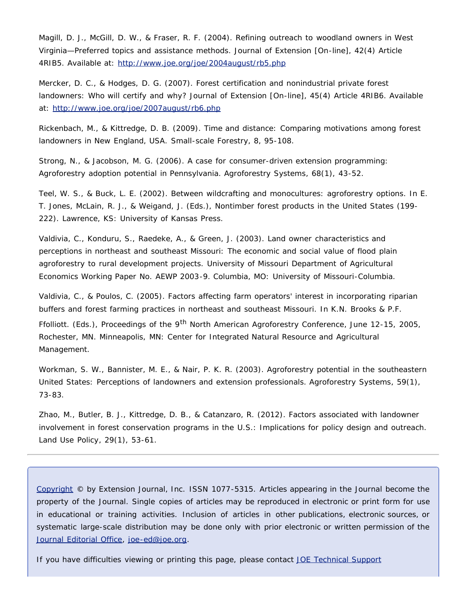Magill, D. J., McGill, D. W., & Fraser, R. F. (2004). Refining outreach to woodland owners in West Virginia—Preferred topics and assistance methods. *Journal of Extension* [On-line], 42(4) Article 4RIB5. Available at: <http://www.joe.org/joe/2004august/rb5.php>

Mercker, D. C., & Hodges, D. G. (2007). Forest certification and nonindustrial private forest landowners: Who will certify and why? *Journal of Extension* [On-line], 45(4) Article 4RIB6. Available at: <http://www.joe.org/joe/2007august/rb6.php>

Rickenbach, M., & Kittredge, D. B. (2009). Time and distance: Comparing motivations among forest landowners in New England, USA. *Small-scale Forestry*, 8, 95-108.

Strong, N., & Jacobson, M. G. (2006). A case for consumer-driven extension programming: Agroforestry adoption potential in Pennsylvania. *Agroforestry Systems*, 68(1), 43-52.

Teel, W. S., & Buck, L. E. (2002). Between wildcrafting and monocultures: agroforestry options. In E. T. Jones, McLain, R. J., & Weigand, J. (Eds.), *Nontimber forest products in the United States* (199- 222). Lawrence, KS: University of Kansas Press.

Valdivia, C., Konduru, S., Raedeke, A., & Green, J. (2003). Land owner characteristics and perceptions in northeast and southeast Missouri: The economic and social value of flood plain agroforestry to rural development projects. University of Missouri Department of Agricultural Economics Working Paper No. AEWP 2003-9. Columbia, MO: University of Missouri-Columbia.

Valdivia, C., & Poulos, C. (2005). Factors affecting farm operators' interest in incorporating riparian buffers and forest farming practices in northeast and southeast Missouri. In K.N. Brooks & P.F.

Ffolliott. (Eds.), *Proceedings of the 9th North American Agroforestry Conference*, June 12-15, 2005, Rochester, MN. Minneapolis, MN: Center for Integrated Natural Resource and Agricultural Management.

Workman, S. W., Bannister, M. E., & Nair, P. K. R. (2003). Agroforestry potential in the southeastern United States: Perceptions of landowners and extension professionals. *Agroforestry Systems*, 59(1), 73-83.

Zhao, M., Butler, B. J., Kittredge, D. B., & Catanzaro, R. (2012). Factors associated with landowner involvement in forest conservation programs in the U.S.: Implications for policy design and outreach. *Land Use Policy*, 29(1), 53-61.

*[Copyright](http://www.joe.org/about-joe-copyright-policy.php) © by Extension Journal, Inc.* ISSN 1077-5315. Articles appearing in the Journal become the property of the Journal. Single copies of articles may be reproduced in electronic or print form for use in educational or training activities. Inclusion of articles in other publications, electronic sources, or systematic large-scale distribution may be done only with prior electronic or written permission of the *[Journal Editorial Office](http://www.joe.org/joe-jeo.html)*, *[joe-ed@joe.org](mailto:joe-ed@joe.org)*.

If you have difficulties viewing or printing this page, please contact *[JOE](http://www.joe.org/techsupport.html)* [Technical Support](http://www.joe.org/contact-joe.php)